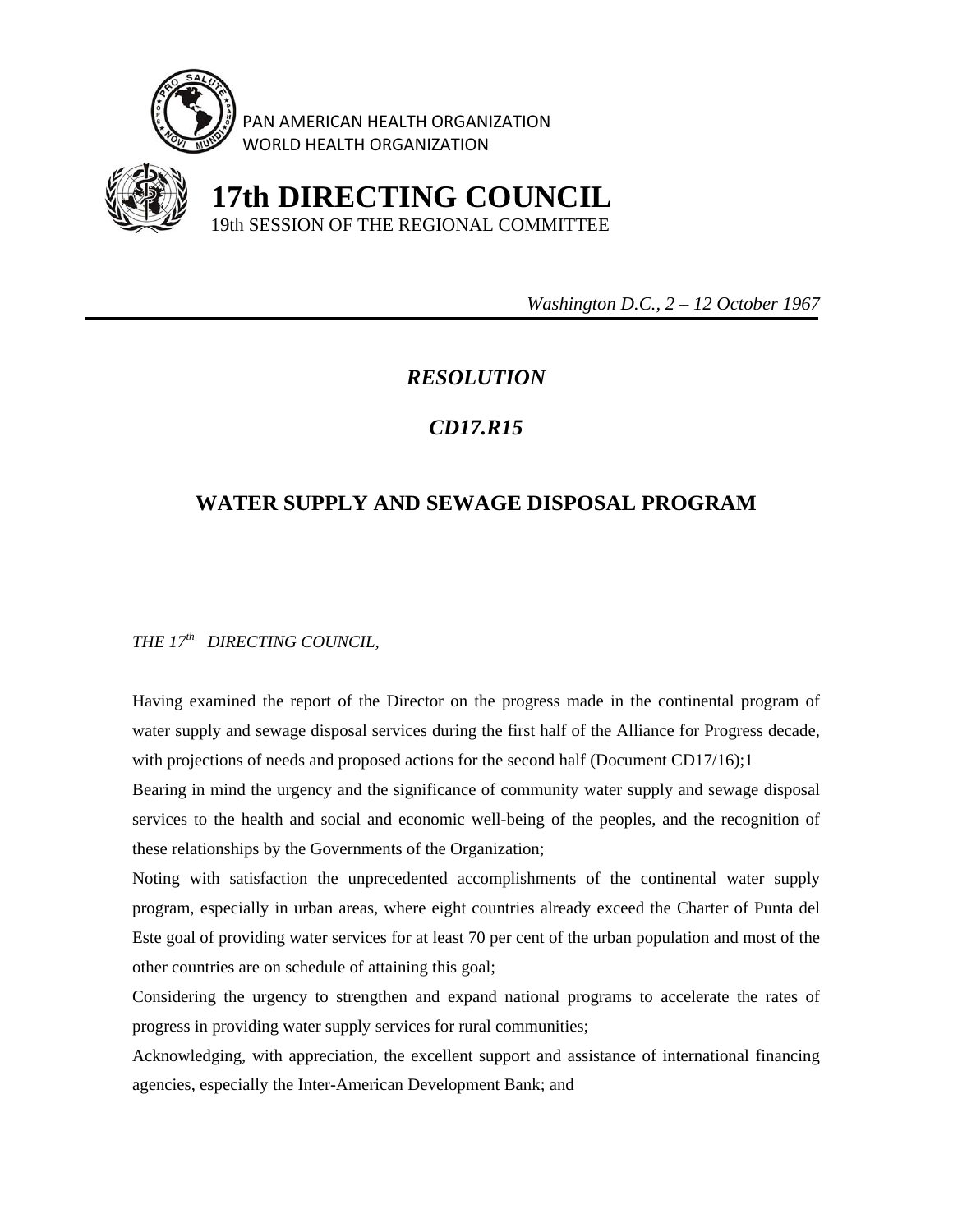

PAN AMERICAN HEALTH ORGANIZATION WORLD HEALTH ORGANIZATION



 **17th DIRECTING COUNCIL** 19th SESSION OF THE REGIONAL COMMITTEE

 *Washington D.C., 2 – 12 October 1967* 

## *RESOLUTION*

## *CD17.R15*

## **WATER SUPPLY AND SEWAGE DISPOSAL PROGRAM**

*THE 17th DIRECTING COUNCIL,* 

Having examined the report of the Director on the progress made in the continental program of water supply and sewage disposal services during the first half of the Alliance for Progress decade, with projections of needs and proposed actions for the second half (Document CD17/16);1

Bearing in mind the urgency and the significance of community water supply and sewage disposal services to the health and social and economic well-being of the peoples, and the recognition of these relationships by the Governments of the Organization;

Noting with satisfaction the unprecedented accomplishments of the continental water supply program, especially in urban areas, where eight countries already exceed the Charter of Punta del Este goal of providing water services for at least 70 per cent of the urban population and most of the other countries are on schedule of attaining this goal;

Considering the urgency to strengthen and expand national programs to accelerate the rates of progress in providing water supply services for rural communities;

Acknowledging, with appreciation, the excellent support and assistance of international financing agencies, especially the Inter-American Development Bank; and